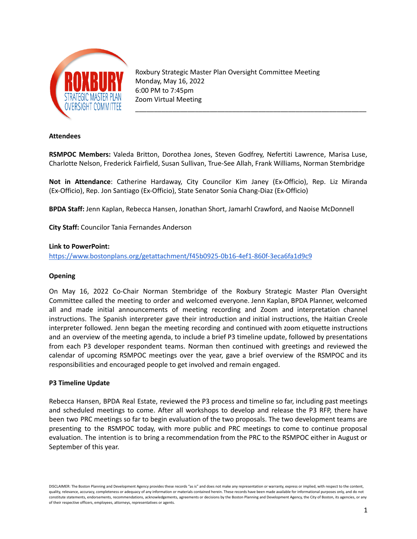

Roxbury Strategic Master Plan Oversight Committee Meeting Monday, May 16, 2022 6:00 PM to 7:45pm Zoom Virtual Meeting

\_\_\_\_\_\_\_\_\_\_\_\_\_\_\_\_\_\_\_\_\_\_\_\_\_\_\_\_\_\_\_\_\_\_\_\_\_\_\_\_\_\_\_\_\_\_\_\_\_\_\_\_\_\_\_\_\_\_\_\_\_\_

### **Attendees**

**RSMPOC Members:** Valeda Britton, Dorothea Jones, Steven Godfrey, Nefertiti Lawrence, Marisa Luse, Charlotte Nelson, Frederick Fairfield, Susan Sullivan, True-See Allah, Frank Williams, Norman Stembridge

**Not in Attendance**: Catherine Hardaway, City Councilor Kim Janey (Ex-Officio), Rep. Liz Miranda (Ex-Officio), Rep. Jon Santiago (Ex-Officio), State Senator Sonia Chang-Diaz (Ex-Officio)

**BPDA Staff:** Jenn Kaplan, Rebecca Hansen, Jonathan Short, Jamarhl Crawford, and Naoise McDonnell

**City Staff:** Councilor Tania Fernandes Anderson

### **Link to PowerPoint:**

<https://www.bostonplans.org/getattachment/f45b0925-0b16-4ef1-860f-3eca6fa1d9c9>

### **Opening**

On May 16, 2022 Co-Chair Norman Stembridge of the Roxbury Strategic Master Plan Oversight Committee called the meeting to order and welcomed everyone. Jenn Kaplan, BPDA Planner, welcomed all and made initial announcements of meeting recording and Zoom and interpretation channel instructions. The Spanish interpreter gave their introduction and initial instructions, the Haitian Creole interpreter followed. Jenn began the meeting recording and continued with zoom etiquette instructions and an overview of the meeting agenda, to include a brief P3 timeline update, followed by presentations from each P3 developer respondent teams. Norman then continued with greetings and reviewed the calendar of upcoming RSMPOC meetings over the year, gave a brief overview of the RSMPOC and its responsibilities and encouraged people to get involved and remain engaged.

### **P3 Timeline Update**

Rebecca Hansen, BPDA Real Estate, reviewed the P3 process and timeline so far, including past meetings and scheduled meetings to come. After all workshops to develop and release the P3 RFP, there have been two PRC meetings so far to begin evaluation of the two proposals. The two development teams are presenting to the RSMPOC today, with more public and PRC meetings to come to continue proposal evaluation. The intention is to bring a recommendation from the PRC to the RSMPOC either in August or September of this year.

DISCLAIMER: The Boston Planning and Development Agency provides these records "as is" and does not make any representation or warranty, express or implied, with respect to the content, quality, relevance, accuracy, completeness or adequacy of any information or materials contained herein. These records have been made available for informational purposes only, and do not constitute statements, endorsements, recommendations, acknowledgements, agreements or decisions by the Boston Planning and Development Agency, the City of Boston, its agencies, or any of their respective officers, employees, attorneys, representatives or agents.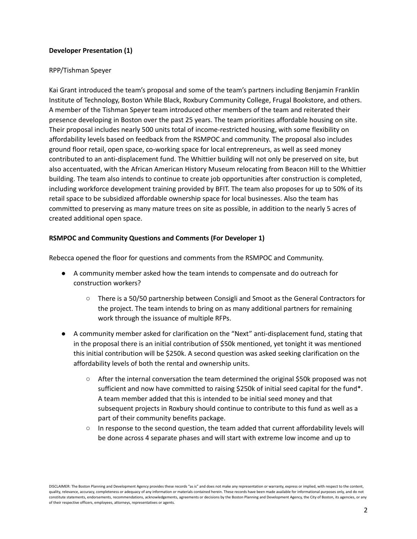# **Developer Presentation (1)**

## RPP/Tishman Speyer

Kai Grant introduced the team's proposal and some of the team's partners including Benjamin Franklin Institute of Technology, Boston While Black, Roxbury Community College, Frugal Bookstore, and others. A member of the Tishman Speyer team introduced other members of the team and reiterated their presence developing in Boston over the past 25 years. The team prioritizes affordable housing on site. Their proposal includes nearly 500 units total of income-restricted housing, with some flexibility on affordability levels based on feedback from the RSMPOC and community. The proposal also includes ground floor retail, open space, co-working space for local entrepreneurs, as well as seed money contributed to an anti-displacement fund. The Whittier building will not only be preserved on site, but also accentuated, with the African American History Museum relocating from Beacon Hill to the Whittier building. The team also intends to continue to create job opportunities after construction is completed, including workforce development training provided by BFIT. The team also proposes for up to 50% of its retail space to be subsidized affordable ownership space for local businesses. Also the team has committed to preserving as many mature trees on site as possible, in addition to the nearly 5 acres of created additional open space.

## **RSMPOC and Community Questions and Comments (For Developer 1)**

Rebecca opened the floor for questions and comments from the RSMPOC and Community.

- A community member asked how the team intends to compensate and do outreach for construction workers?
	- There is a 50/50 partnership between Consigli and Smoot as the General Contractors for the project. The team intends to bring on as many additional partners for remaining work through the issuance of multiple RFPs.
- A community member asked for clarification on the "Next" anti-displacement fund, stating that in the proposal there is an initial contribution of \$50k mentioned, yet tonight it was mentioned this initial contribution will be \$250k. A second question was asked seeking clarification on the affordability levels of both the rental and ownership units.
	- After the internal conversation the team determined the original \$50k proposed was not sufficient and now have committed to raising \$250k of initial seed capital for the fund\*. A team member added that this is intended to be initial seed money and that subsequent projects in Roxbury should continue to contribute to this fund as well as a part of their community benefits package.
	- In response to the second question, the team added that current affordability levels will be done across 4 separate phases and will start with extreme low income and up to

DISCLAIMER: The Boston Planning and Development Agency provides these records "as is" and does not make any representation or warranty, express or implied, with respect to the content, quality, relevance, accuracy, completeness or adequacy of any information or materials contained herein. These records have been made available for informational purposes only, and do not constitute statements, endorsements, recommendations, acknowledgements, agreements or decisions by the Boston Planning and Development Agency, the City of Boston, its agencies, or any of their respective officers, employees, attorneys, representatives or agents.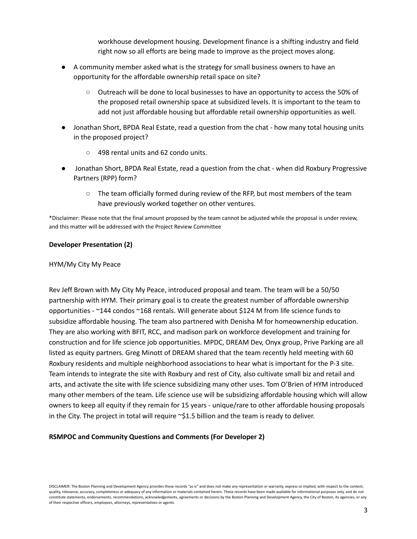workhouse development housing. Development finance is a shifting industry and field right now so all efforts are being made to improve as the project moves along.

- A community member asked what is the strategy for small business owners to have an opportunity for the affordable ownership retail space on site?
	- Outreach will be done to local businesses to have an opportunity to access the 50% of the proposed retail ownership space at subsidized levels. It is important to the team to add not just affordable housing but affordable retail ownership opportunities as well.
- Jonathan Short, BPDA Real Estate, read a question from the chat how many total housing units in the proposed project?
	- 498 rental units and 62 condo units.
- Jonathan Short, BPDA Real Estate, read a question from the chat when did Roxbury Progressive Partners (RPP) form?
	- The team officially formed during review of the RFP, but most members of the team have previously worked together on other ventures.

\*Disclaimer: Please note that the final amount proposed by the team cannot be adjusted while the proposal is under review, and this matter will be addressed with the Project Review Committee

### **Developer Presentation (2)**

### HYM/My City My Peace

Rev Jeff Brown with My City My Peace, introduced proposal and team. The team will be a 50/50 partnership with HYM. Their primary goal is to create the greatest number of affordable ownership opportunities - ~144 condos ~168 rentals. Will generate about \$124 M from life science funds to subsidize affordable housing. The team also partnered with Denisha M for homeownership education. They are also working with BFIT, RCC, and madison park on workforce development and training for construction and for life science job opportunities. MPDC, DREAM Dev, Onyx group, Prive Parking are all listed as equity partners. Greg Minott of DREAM shared that the team recently held meeting with 60 Roxbury residents and multiple neighborhood associations to hear what is important for the P-3 site. Team intends to integrate the site with Roxbury and rest of City, also cultivate small biz and retail and arts, and activate the site with life science subsidizing many other uses. Tom O'Brien of HYM introduced many other members of the team. Life science use will be subsidizing affordable housing which will allow owners to keep all equity if they remain for 15 years - unique/rare to other affordable housing proposals in the City. The project in total will require  $\sim$ \$1.5 billion and the team is ready to deliver.

### **RSMPOC and Community Questions and Comments (For Developer 2)**

DISCLAIMER: The Boston Planning and Development Agency provides these records "as is" and does not make any representation or warranty, express or implied, with respect to the content, quality, relevance, accuracy, completeness or adequacy of any information or materials contained herein. These records have been made available for informational purposes only, and do not constitute statements, endorsements, recommendations, acknowledgements, agreements or decisions by the Boston Planning and Development Agency, the City of Boston, its agencies, or any of their respective officers, employees, attorneys, representatives or agents.